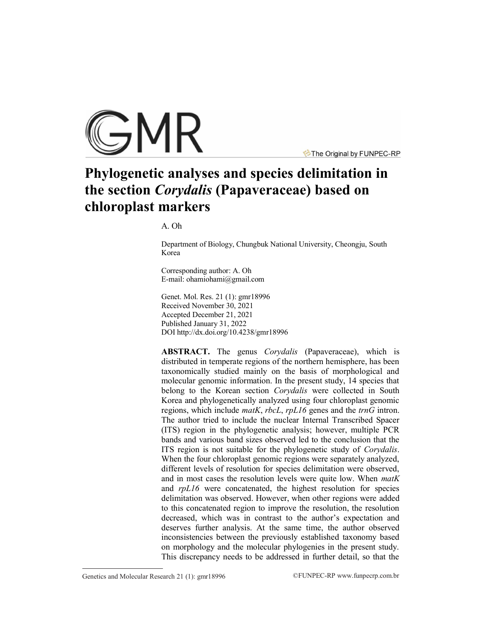

The Original by FUNPEC-RP

# **Phylogenetic analyses and species delimitation in the section** *Corydalis* **(Papaveraceae) based on chloroplast markers**

A. Oh

Department of Biology, Chungbuk National University, Cheongju, South Korea

Corresponding author: A. Oh E-mail: [ohamiohami@gmail.com](mailto:ohamiohami@gmail.com)

Genet. Mol. Res. 21 (1): gmr18996 Received November 30, 2021 Accepted December 21, 2021 Published January 31, 2022 DO[I http://dx.doi.org/10.4238/gmr189](http://dx.doi.org/10.4238/gmr185)96

**ABSTRACT.** The genus *Corydalis* (Papaveraceae), which is distributed in temperate regions of the northern hemisphere, has been taxonomically studied mainly on the basis of morphological and molecular genomic information. In the present study, 14 species that belong to the Korean section *Corydalis* were collected in South Korea and phylogenetically analyzed using four chloroplast genomic regions, which include *matK*, *rbcL*, *rpL16* genes and the *trnG* intron. The author tried to include the nuclear Internal Transcribed Spacer (ITS) region in the phylogenetic analysis; however, multiple PCR bands and various band sizes observed led to the conclusion that the ITS region is not suitable for the phylogenetic study of *Corydalis*. When the four chloroplast genomic regions were separately analyzed, different levels of resolution for species delimitation were observed, and in most cases the resolution levels were quite low. When *matK* and *rpL16* were concatenated, the highest resolution for species delimitation was observed. However, when other regions were added to this concatenated region to improve the resolution, the resolution decreased, which was in contrast to the author's expectation and deserves further analysis. At the same time, the author observed inconsistencies between the previously established taxonomy based on morphology and the molecular phylogenies in the present study. This discrepancy needs to be addressed in further detail, so that the

Genetics and Molecular Research 21 (1): gmr18996 ©FUNPEC-RP www.funpecrp.com.br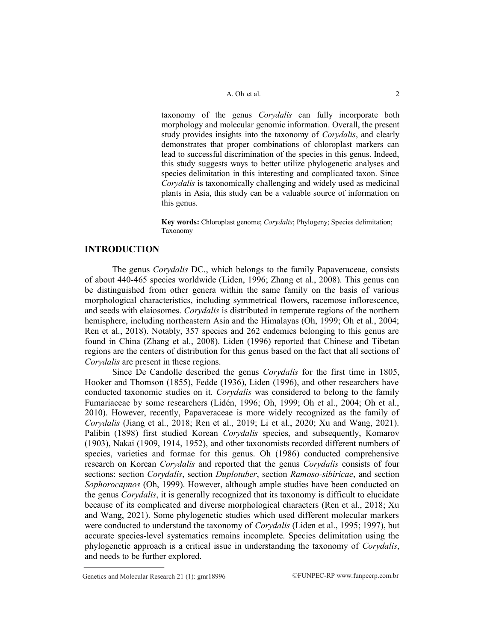taxonomy of the genus *Corydalis* can fully incorporate both morphology and molecular genomic information. Overall, the present study provides insights into the taxonomy of *Corydalis*, and clearly demonstrates that proper combinations of chloroplast markers can lead to successful discrimination of the species in this genus. Indeed, this study suggests ways to better utilize phylogenetic analyses and species delimitation in this interesting and complicated taxon. Since *Corydalis* is taxonomically challenging and widely used as medicinal plants in Asia, this study can be a valuable source of information on this genus.

**Key words:** Chloroplast genome; *Corydalis*; Phylogeny; Species delimitation; Taxonomy

# **INTRODUCTION**

The genus *Corydalis* DC., which belongs to the family Papaveraceae, consists of about 440-465 species worldwide (Liden, 1996; Zhang et al., 2008). This genus can be distinguished from other genera within the same family on the basis of various morphological characteristics, including symmetrical flowers, racemose inflorescence, and seeds with elaiosomes. *Corydalis* is distributed in temperate regions of the northern hemisphere, including northeastern Asia and the Himalayas (Oh, 1999; Oh et al., 2004; Ren et al., 2018). Notably, 357 species and 262 endemics belonging to this genus are found in China (Zhang et al., 2008). Liden (1996) reported that Chinese and Tibetan regions are the centers of distribution for this genus based on the fact that all sections of *Corydalis* are present in these regions.

Since De Candolle described the genus *Corydalis* for the first time in 1805, Hooker and Thomson (1855), Fedde (1936), Liden (1996), and other researchers have conducted taxonomic studies on it. *Corydalis* was considered to belong to the family Fumariaceae by some researchers (Lidén, 1996; Oh, 1999; Oh et al., 2004; Oh et al., 2010). However, recently, Papaveraceae is more widely recognized as the family of *Corydalis* (Jiang et al., 2018; Ren et al., 2019; Li et al., 2020; Xu and Wang, 2021). Palibin (1898) first studied Korean *Corydalis* species, and subsequently, Komarov (1903), Nakai (1909, 1914, 1952), and other taxonomists recorded different numbers of species, varieties and formae for this genus. Oh (1986) conducted comprehensive research on Korean *Corydalis* and reported that the genus *Corydalis* consists of four sections: section *Corydalis*, section *Duplotuber*, section *Ramoso-sibiricae*, and section *Sophorocapnos* (Oh, 1999). However, although ample studies have been conducted on the genus *Corydalis*, it is generally recognized that its taxonomy is difficult to elucidate because of its complicated and diverse morphological characters (Ren et al., 2018; Xu and Wang, 2021). Some phylogenetic studies which used different molecular markers were conducted to understand the taxonomy of *Corydalis* (Liden et al., 1995; 1997), but accurate species-level systematics remains incomplete. Species delimitation using the phylogenetic approach is a critical issue in understanding the taxonomy of *Corydalis*, and needs to be further explored.

Genetics and Molecular Research 21 (1):  $gmr18996$  ©FUNPEC-RP www.funpecrp.com.br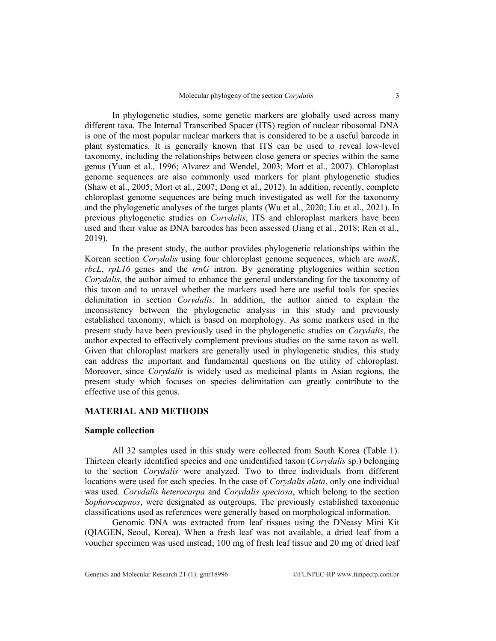In phylogenetic studies, some genetic markers are globally used across many different taxa. The Internal Transcribed Spacer (ITS) region of nuclear ribosomal DNA is one of the most popular nuclear markers that is considered to be a useful barcode in plant systematics. It is generally known that ITS can be used to reveal low-level taxonomy, including the relationships between close genera or species within the same genus (Yuan et al., 1996; Alvarez and Wendel, 2003; Mort et al., 2007). Chloroplast genome sequences are also commonly used markers for plant phylogenetic studies (Shaw et al., 2005; Mort et al., 2007; Dong et al., 2012). In addition, recently, complete chloroplast genome sequences are being much investigated as well for the taxonomy and the phylogenetic analyses of the target plants (Wu et al., 2020; Liu et al., 2021). In previous phylogenetic studies on *Corydalis*, ITS and chloroplast markers have been used and their value as DNA barcodes has been assessed (Jiang et al., 2018; Ren et al., 2019).

In the present study, the author provides phylogenetic relationships within the Korean section *Corydalis* using four chloroplast genome sequences, which are *matK*, *rbcL*, *rpL16* genes and the *trnG* intron. By generating phylogenies within section *Corydalis*, the author aimed to enhance the general understanding for the taxonomy of this taxon and to unravel whether the markers used here are useful tools for species delimitation in section *Corydalis*. In addition, the author aimed to explain the inconsistency between the phylogenetic analysis in this study and previously established taxonomy, which is based on morphology. As some markers used in the present study have been previously used in the phylogenetic studies on *Corydalis*, the author expected to effectively complement previous studies on the same taxon as well. Given that chloroplast markers are generally used in phylogenetic studies, this study can address the important and fundamental questions on the utility of chloroplast. Moreover, since *Corydalis* is widely used as medicinal plants in Asian regions, the present study which focuses on species delimitation can greatly contribute to the effective use of this genus.

# **MATERIAL AND METHODS**

#### **Sample collection**

All 32 samples used in this study were collected from South Korea (Table 1). Thirteen clearly identified species and one unidentified taxon (*Corydalis* sp.) belonging to the section *Corydalis* were analyzed. Two to three individuals from different locations were used for each species. In the case of *Corydalis alata*, only one individual was used. *Corydalis heterocarpa* and *Corydalis speciosa*, which belong to the section *Sophorocapnos*, were designated as outgroups. The previously established taxonomic classifications used as references were generally based on morphological information.

Genomic DNA was extracted from leaf tissues using the DNeasy Mini Kit (QIAGEN, Seoul, Korea). When a fresh leaf was not available, a dried leaf from a voucher specimen was used instead; 100 mg of fresh leaf tissue and 20 mg of dried leaf

Genetics and Molecular Research 21 (1): gmr18996 ©FUNPEC-RP www.funpecrp.com.br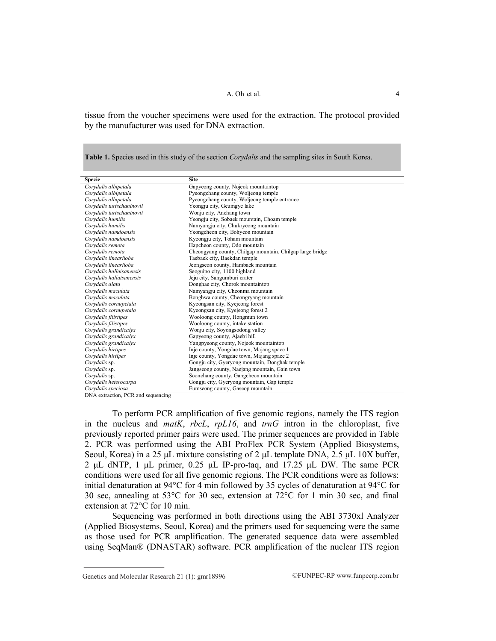tissue from the voucher specimens were used for the extraction. The protocol provided by the manufacturer was used for DNA extraction.

**Table 1.** Species used in this study of the section *Corydalis* and the sampling sites in South Korea.

| <b>Specie</b>             | <b>Site</b>                                               |
|---------------------------|-----------------------------------------------------------|
| Corvdalis albipetala      | Gapyeong county, Nojeok mountaintop                       |
| Corvdalis albipetala      | Pyeongchang county, Woljeong temple                       |
| Corvdalis albipetala      | Pyeongchang county, Woljeong temple entrance              |
| Corydalis turtschaninovii | Yeongju city, Geumgye lake                                |
| Corydalis turtschaninovii | Wonju city, Anchang town                                  |
| Corydalis humilis         | Yeongju city, Sobaek mountain, Choam temple               |
| Corvdalis humilis         | Namyangju city, Chukryeong mountain                       |
| Corydalis namdoensis      | Yeongcheon city, Bohyeon mountain                         |
| Corvdalis namdoensis      | Kyeongju city, Toham mountain                             |
| Corvdalis remota          | Hapcheon county, Odo mountain                             |
| Corvdalis remota          | Cheongyang county, Chilgap mountain, Chilgap large bridge |
| Corvdalis lineariloba     | Taebaek city, Baekdan temple                              |
| Corvdalis lineariloba     | Jeongseon county, Hambaek mountain                        |
| Corydalis hallaisanensis  | Seoguipo city, 1100 highland                              |
| Corydalis hallaisanensis  | Jeju city, Sangumburi crater                              |
| Corvdalis alata           | Donghae city, Chorok mountaintop                          |
| Corydalis maculata        | Namyangju city, Cheonma mountain                          |
| Corydalis maculata        | Bonghwa county, Cheongryang mountain                      |
| Corydalis cornupetala     | Kyeongsan city, Kyejeong forest                           |
| Corydalis cornupetala     | Kyeongsan city, Kyejeong forest 2                         |
| Corydalis filistipes      | Wooloong county, Hongmun town                             |
| Corydalis filistipes      | Wooloong county, intake station                           |
| Corydalis grandicalyx     | Wonju city, Soyongsodong valley                           |
| Corydalis grandicalyx     | Gapyeong county, Ajaebi hill                              |
| Corydalis grandicalyx     | Yangpyeong county, Nojeok mountaintop                     |
| Corydalis hirtipes        | Inje county, Yongdae town, Majang space 1                 |
| Corydalis hirtipes        | Inje county, Yongdae town, Majang space 2                 |
| Corydalis sp.             | Gongju city, Gyeryong mountain, Donghak temple            |
| Corydalis sp.             | Jangseong county, Naejang mountain, Gain town             |
| Corvdalis sp.             | Soonchang county, Gangcheon mountain                      |
| Corydalis heterocarpa     | Gongju city, Gyeryong mountain, Gap temple                |
| Corydalis speciosa        | Eumseong county, Gaseop mountain                          |

DNA extraction, PCR and sequencing

To perform PCR amplification of five genomic regions, namely the ITS region in the nucleus and *matK*, *rbcL*, *rpL16*, and *trnG* intron in the chloroplast, five previously reported primer pairs were used. The primer sequences are provided in Table 2. PCR was performed using the ABI ProFlex PCR System (Applied Biosystems, Seoul, Korea) in a 25 μL mixture consisting of 2 μL template DNA, 2.5 μL 10X buffer, 2 μL dNTP, 1 μL primer, 0.25 μL IP-pro-taq, and 17.25 μL DW. The same PCR conditions were used for all five genomic regions. The PCR conditions were as follows: initial denaturation at 94°C for 4 min followed by 35 cycles of denaturation at 94°C for 30 sec, annealing at 53°C for 30 sec, extension at 72°C for 1 min 30 sec, and final extension at 72°C for 10 min.

Sequencing was performed in both directions using the ABI 3730xl Analyzer (Applied Biosystems, Seoul, Korea) and the primers used for sequencing were the same as those used for PCR amplification. The generated sequence data were assembled using SeqMan® (DNASTAR) software. PCR amplification of the nuclear ITS region

Genetics and Molecular Research 21 (1):  $gmr18996$  ©FUNPEC-RP www.funpecrp.com.br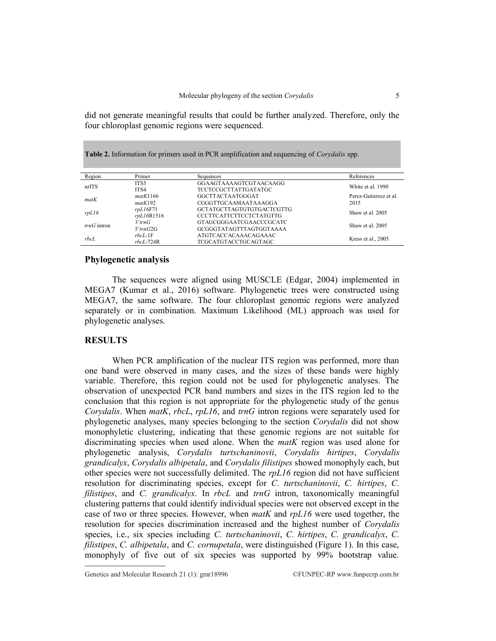did not generate meaningful results that could be further analyzed. Therefore, only the four chloroplast genomic regions were sequenced.

**Table 2.** Information for primers used in PCR amplification and sequencing of *Corydalis* spp.

| Region                                          | Primer          | Sequences                      | References             |
|-------------------------------------------------|-----------------|--------------------------------|------------------------|
| nrfTS                                           | ITS5            | GGAAGTAAAAGTCGTAACAAGG         | White et al. 1990      |
|                                                 | ITS4            | <b>TCCTCCGCTTATTGATATGC</b>    |                        |
| matK<br>matK192                                 | matK1166        | GGCTTACTAATGGGAT               | Perez-Gutierrez et al. |
|                                                 |                 | CGGGTTGCAAMAATAAAGGA           | 2015                   |
| rpl16F71<br>rpl16<br>rpl16R1516                 |                 | GCTATGCTTAGTGTGTGACTCGTTG      | Shaw et al. 2005       |
|                                                 |                 | <b>CCCTTCATTCTTCCTCTATGTTG</b> |                        |
| $3'$ trn $G$<br>$trnG$ intron<br>$5'$ trn $G2G$ |                 | GTAGCGGGAATCGAACCCGCATC        | Shaw et al. 2005       |
|                                                 |                 | GCGGGTATAGTTTAGTGGTAAAA        |                        |
| rbcL                                            | $rbcl$ -1 $F$   | ATGTCACCACAAACAGAAAC           | Kress et al., 2005     |
|                                                 | $rbcL$ -724 $R$ | <b>TCGCATGTACCTGCAGTAGC</b>    |                        |

## **Phylogenetic analysis**

The sequences were aligned using MUSCLE (Edgar, 2004) implemented in MEGA7 (Kumar et al., 2016) software. Phylogenetic trees were constructed using MEGA7, the same software. The four chloroplast genomic regions were analyzed separately or in combination. Maximum Likelihood (ML) approach was used for phylogenetic analyses.

# **RESULTS**

When PCR amplification of the nuclear ITS region was performed, more than one band were observed in many cases, and the sizes of these bands were highly variable. Therefore, this region could not be used for phylogenetic analyses. The observation of unexpected PCR band numbers and sizes in the ITS region led to the conclusion that this region is not appropriate for the phylogenetic study of the genus *Corydalis*. When *matK*, *rbcL*, *rpL16*, and *trnG* intron regions were separately used for phylogenetic analyses, many species belonging to the section *Corydalis* did not show monophyletic clustering, indicating that these genomic regions are not suitable for discriminating species when used alone. When the *matK* region was used alone for phylogenetic analysis, *Corydalis turtschaninovii*, *Corydalis hirtipes*, *Corydalis grandicalyx*, *Corydalis albipetala*, and *Corydalis filistipes* showed monophyly each, but other species were not successfully delimited. The *rpL16* region did not have sufficient resolution for discriminating species, except for *C. turtschaninovii*, *C. hirtipes*, *C. filistipes*, and *C. grandicalyx*. In *rbcL* and *trnG* intron, taxonomically meaningful clustering patterns that could identify individual species were not observed except in the case of two or three species. However, when *matK* and *rpL16* were used together, the resolution for species discrimination increased and the highest number of *Corydalis* species, i.e., six species including *C. turtschaninovii*, *C. hirtipes*, *C. grandicalyx*, *C. filistipes*, *C. albipetala*, and *C. cornupetala*, were distinguished (Figure 1). In this case, monophyly of five out of six species was supported by 99% bootstrap value.

Genetics and Molecular Research 21 (1): gmr18996 ©FUNPEC-RP www.funpecrp.com.br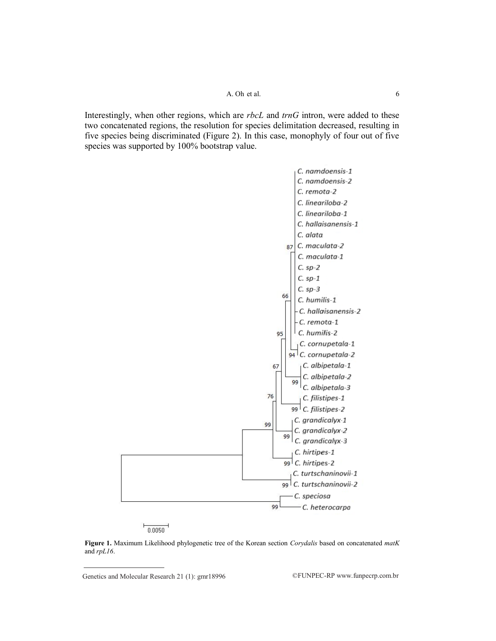#### A. Oh et al. 6

Interestingly, when other regions, which are *rbcL* and *trnG* intron, were added to these two concatenated regions, the resolution for species delimitation decreased, resulting in five species being discriminated (Figure 2). In this case, monophyly of four out of five species was supported by 100% bootstrap value.



 $\frac{1}{0.0050}$ 

**Figure 1.** Maximum Likelihood phylogenetic tree of the Korean section *Corydalis* based on concatenated *matK* and *rpL16*.

Genetics and Molecular Research 21 (1):  $gmr18996$  ©FUNPEC-RP www.funpecrp.com.br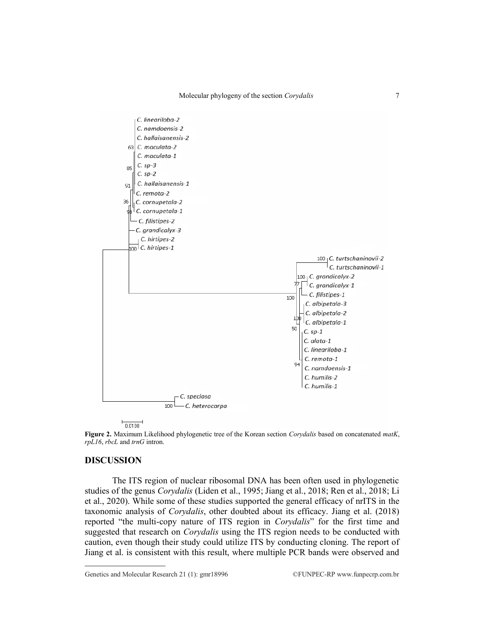

 $\frac{1}{0.0100}$ 

**Figure 2.** Maximum Likelihood phylogenetic tree of the Korean section *Corydalis* based on concatenated *matK*, *rpL16*, *rbcL* and *trnG* intron.

## **DISCUSSION**

The ITS region of nuclear ribosomal DNA has been often used in phylogenetic studies of the genus *Corydalis* (Liden et al., 1995; Jiang et al., 2018; Ren et al., 2018; Li et al., 2020). While some of these studies supported the general efficacy of nrITS in the taxonomic analysis of *Corydalis*, other doubted about its efficacy. Jiang et al. (2018) reported "the multi-copy nature of ITS region in *Corydalis*" for the first time and suggested that research on *Corydalis* using the ITS region needs to be conducted with caution, even though their study could utilize ITS by conducting cloning. The report of Jiang et al. is consistent with this result, where multiple PCR bands were observed and

Genetics and Molecular Research 21 (1):  $gmr18996$  ©FUNPEC-RP www.funpecrp.com.br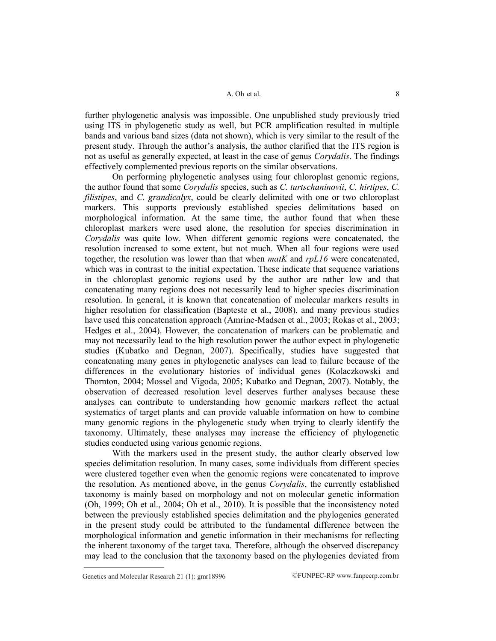further phylogenetic analysis was impossible. One unpublished study previously tried using ITS in phylogenetic study as well, but PCR amplification resulted in multiple bands and various band sizes (data not shown), which is very similar to the result of the present study. Through the author's analysis, the author clarified that the ITS region is not as useful as generally expected, at least in the case of genus *Corydalis*. The findings effectively complemented previous reports on the similar observations.

On performing phylogenetic analyses using four chloroplast genomic regions, the author found that some *Corydalis* species, such as *C. turtschaninovii*, *C. hirtipes*, *C. filistipes*, and *C. grandicalyx*, could be clearly delimited with one or two chloroplast markers. This supports previously established species delimitations based on morphological information. At the same time, the author found that when these chloroplast markers were used alone, the resolution for species discrimination in *Corydalis* was quite low. When different genomic regions were concatenated, the resolution increased to some extent, but not much. When all four regions were used together, the resolution was lower than that when *matK* and *rpL16* were concatenated, which was in contrast to the initial expectation. These indicate that sequence variations in the chloroplast genomic regions used by the author are rather low and that concatenating many regions does not necessarily lead to higher species discrimination resolution. In general, it is known that concatenation of molecular markers results in higher resolution for classification (Bapteste et al., 2008), and many previous studies have used this concatenation approach (Amrine-Madsen et al., 2003; Rokas et al., 2003; Hedges et al., 2004). However, the concatenation of markers can be problematic and may not necessarily lead to the high resolution power the author expect in phylogenetic studies (Kubatko and Degnan, 2007). Specifically, studies have suggested that concatenating many genes in phylogenetic analyses can lead to failure because of the differences in the evolutionary histories of individual genes (Kolaczkowski and Thornton, 2004; Mossel and Vigoda, 2005; Kubatko and Degnan, 2007). Notably, the observation of decreased resolution level deserves further analyses because these analyses can contribute to understanding how genomic markers reflect the actual systematics of target plants and can provide valuable information on how to combine many genomic regions in the phylogenetic study when trying to clearly identify the taxonomy. Ultimately, these analyses may increase the efficiency of phylogenetic studies conducted using various genomic regions.

With the markers used in the present study, the author clearly observed low species delimitation resolution. In many cases, some individuals from different species were clustered together even when the genomic regions were concatenated to improve the resolution. As mentioned above, in the genus *Corydalis*, the currently established taxonomy is mainly based on morphology and not on molecular genetic information (Oh, 1999; Oh et al., 2004; Oh et al., 2010). It is possible that the inconsistency noted between the previously established species delimitation and the phylogenies generated in the present study could be attributed to the fundamental difference between the morphological information and genetic information in their mechanisms for reflecting the inherent taxonomy of the target taxa. Therefore, although the observed discrepancy may lead to the conclusion that the taxonomy based on the phylogenies deviated from

Genetics and Molecular Research 21 (1):  $gmr18996$  ©FUNPEC-RP www.funpecrp.com.br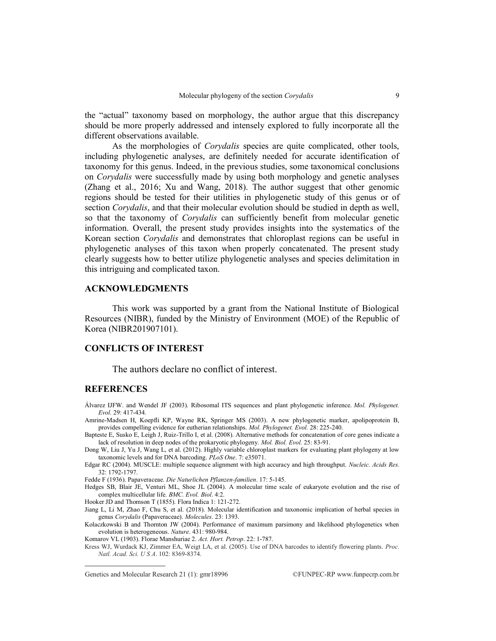the "actual" taxonomy based on morphology, the author argue that this discrepancy should be more properly addressed and intensely explored to fully incorporate all the different observations available.

As the morphologies of *Corydalis* species are quite complicated, other tools, including phylogenetic analyses, are definitely needed for accurate identification of taxonomy for this genus. Indeed, in the previous studies, some taxonomical conclusions on *Corydalis* were successfully made by using both morphology and genetic analyses (Zhang et al., 2016; Xu and Wang, 2018). The author suggest that other genomic regions should be tested for their utilities in phylogenetic study of this genus or of section *Corydalis*, and that their molecular evolution should be studied in depth as well, so that the taxonomy of *Corydalis* can sufficiently benefit from molecular genetic information. Overall, the present study provides insights into the systematics of the Korean section *Corydalis* and demonstrates that chloroplast regions can be useful in phylogenetic analyses of this taxon when properly concatenated. The present study clearly suggests how to better utilize phylogenetic analyses and species delimitation in this intriguing and complicated taxon.

### **ACKNOWLEDGMENTS**

This work was supported by a grant from the National Institute of Biological Resources (NIBR), funded by the Ministry of Environment (MOE) of the Republic of Korea (NIBR201907101).

#### **CONFLICTS OF INTEREST**

The authors declare no conflict of interest.

## **REFERENCES**

Álvarez IJFW. and Wendel JF (2003). Ribosomal ITS sequences and plant phylogenetic inference. *Mol. Phylogenet. Evol.* 29: 417-434.

- Amrine-Madsen H, Koepfli KP, Wayne RK, Springer MS (2003). A new phylogenetic marker, apolipoprotein B, provides compelling evidence for eutherian relationships. *Mol. Phylogenet. Evol.* 28: 225-240.
- Bapteste E, Susko E, Leigh J, Ruiz-Trillo I, et al. (2008). Alternative methods for concatenation of core genes indicate a lack of resolution in deep nodes of the prokaryotic phylogeny. *Mol. Biol. Evol.* 25: 83-91.

Dong W, Liu J, Yu J, Wang L, et al. (2012). Highly variable chloroplast markers for evaluating plant phylogeny at low taxonomic levels and for DNA barcoding. *PLoS One*. 7: e35071.

Fedde F (1936). Papaveraceae. *Die Naturlichen Pflanzen-familien*. 17: 5-145.

- Hedges SB, Blair JE, Venturi ML, Shoe JL (2004). A molecular time scale of eukaryote evolution and the rise of complex multicellular life. *BMC. Evol. Biol*. 4:2.
- Hooker JD and Thomson T (1855). Flora Indica 1: 121-272.

Jiang L, Li M, Zhao F, Chu S, et al. (2018). Molecular identification and taxonomic implication of herbal species in genus *Corydalis* (Papaveraceae). *Molecules*. 23: 1393.

- Kolaczkowski B and Thornton JW (2004). Performance of maximum parsimony and likelihood phylogenetics when evolution is heterogeneous. *Nature*. 431: 980-984.
- Komarov VL (1903). Florae Manshuriae 2. *Act. Hort. Petrop*. 22: 1-787.
- Kress WJ, Wurdack KJ, Zimmer EA, Weigt LA, et al. (2005). Use of DNA barcodes to identify flowering plants. *Proc. Natl. Acad. Sci. U S A*. 102: 8369-8374.

Edgar RC (2004). MUSCLE: multiple sequence alignment with high accuracy and high throughput. *Nucleic. Acids Res.* 32: 1792-1797.

Genetics and Molecular Research 21 (1):  $gm18996$  ©FUNPEC-RP www.funpecrp.com.br